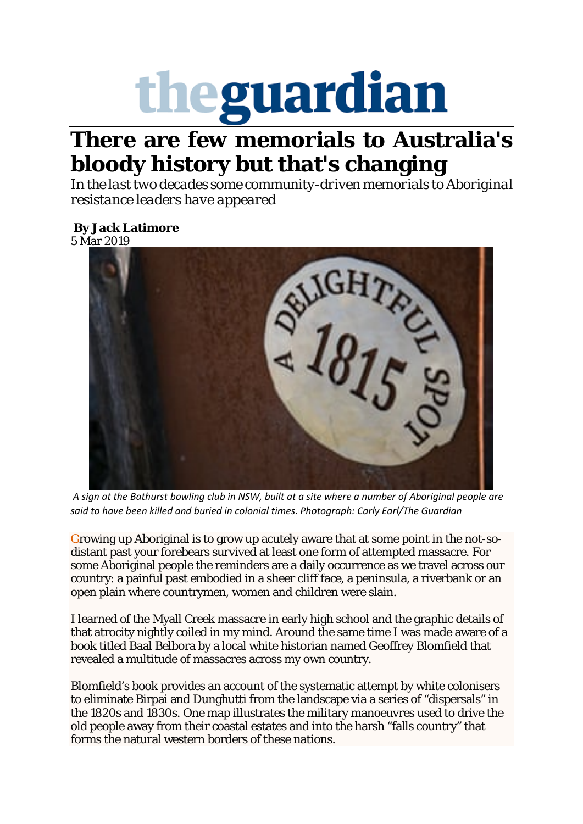## theguardian

## **There are few memorials to Australia's bloody history but that's changing**

*In the last two decades some community-driven memorials to Aboriginal resistance leaders have appeared*

**By Jack Latimore** [5 Mar 2019](https://www.theguardian.com/australia-news/2019/mar/05/there-are-few-memorials-to-our-bloody-history-but-thats-changing#img-1)



*A sign at the Bathurst bowling club in NSW, built at a site where a number of Aboriginal people are said to have been killed and buried in colonial times. Photograph: Carly Earl/The Guardian*

Growing up Aboriginal is to grow up acutely aware that at some point in the not-sodistant past your forebears survived at least one form of attempted massacre. For some Aboriginal people the reminders are a daily occurrence as we travel across our country: a painful past embodied in a sheer cliff face, a peninsula, a riverbank or an open plain where countrymen, women and children were slain.

I learned of the Myall Creek massacre in early high school and the graphic details of that atrocity nightly coiled in my mind. Around the same time I was made aware of a book titled Baal Belbora by a local white historian named Geoffrey Blomfield that revealed a multitude of massacres across my own country.

Blomfield's book provides an account of the systematic attempt by white colonisers to eliminate Birpai and Dunghutti from the landscape via a series of "dispersals" in the 1820s and 1830s. One map illustrates the military manoeuvres used to drive the old people away from their coastal estates and into the harsh "falls country" that forms the natural western borders of these nations.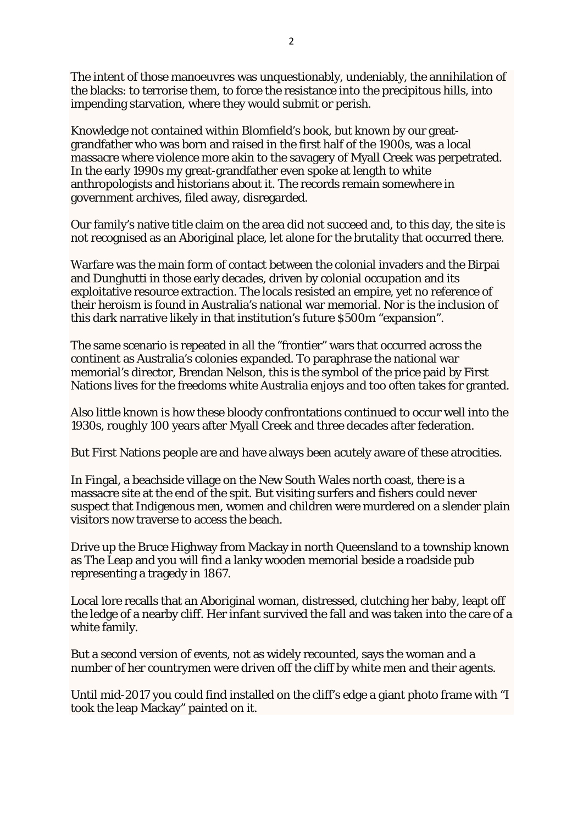The intent of those manoeuvres was unquestionably, undeniably, the annihilation of the blacks: to terrorise them, to force the resistance into the precipitous hills, into impending starvation, where they would submit or perish.

Knowledge not contained within Blomfield's book, but known by our greatgrandfather who was born and raised in the first half of the 1900s, was a local massacre where violence more akin to the savagery of Myall Creek was perpetrated. In the early 1990s my great-grandfather even spoke at length to white anthropologists and historians about it. The records remain somewhere in government archives, filed away, disregarded.

Our family's native title claim on the area did not succeed and, to this day, the site is not recognised as an Aboriginal place, let alone for the brutality that occurred there.

Warfare was the main form of contact between the colonial invaders and the Birpai and Dunghutti in those early decades, driven by colonial occupation and its exploitative resource extraction. The locals resisted an empire, yet no reference of their heroism is found in Australia's national war memorial. Nor is the inclusion of this dark narrative likely in that institution's future \$500m "expansion".

The same scenario is repeated in all the "frontier" wars that occurred across the continent as Australia's colonies expanded. To paraphrase the national war memorial's director, Brendan Nelson, this is the symbol of the price paid by First Nations lives for the freedoms white Australia enjoys and too often takes for granted.

Also little known is how these bloody confrontations continued to occur well into the 1930s, roughly 100 years after Myall Creek and three decades after federation.

But First Nations people are and have always been acutely aware of these atrocities.

In Fingal, a beachside village on the New South Wales north coast, there is a massacre site at the end of the spit. But visiting surfers and fishers could never suspect that Indigenous men, women and children were murdered on a slender plain visitors now traverse to access the beach.

Drive up the Bruce Highway from Mackay in north Queensland to a township known as The Leap and you will find a lanky wooden memorial beside a roadside pub representing a tragedy in 1867.

Local lore recalls that an Aboriginal woman, distressed, clutching her baby, leapt off the ledge of a nearby cliff. Her infant survived the fall and was taken into the care of a white family.

But a second version of events, not as widely recounted, says the woman and a number of her countrymen were driven off the cliff by white men and their agents.

Until mid-2017 you could find installed on the cliff's edge a giant photo frame with "I took the leap Mackay" painted on it.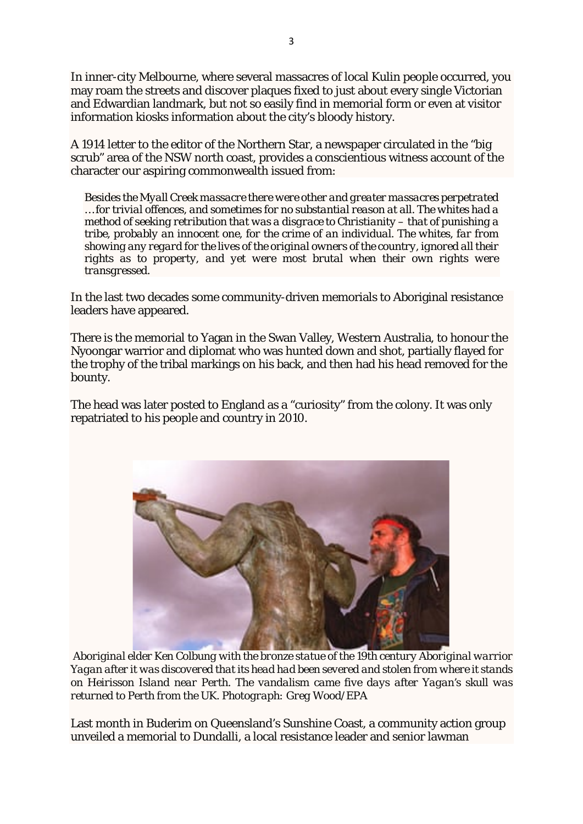In inner-city Melbourne, where several massacres of local Kulin people occurred, you may roam the streets and discover plaques fixed to just about every single Victorian and Edwardian landmark, but not so easily find in memorial form or even at visitor information kiosks information about the city's bloody history.

A 1914 letter to the editor of the Northern Star, a newspaper circulated in the "big scrub" area of the NSW north coast, provides a conscientious witness account of the character our aspiring commonwealth issued from:

*Besides the Myall Creek massacre there were other and greater massacres perpetrated … for trivial offences, and sometimes for no substantial reason at all. The whites had a method of seeking retribution that was a disgrace to Christianity – that of punishing a tribe, probably an innocent one, for the crime of an individual. The whites, far from showing any regard for the lives of the original owners of the country, ignored all their*  rights as to property, and yet were most brutal when their own rights were *transgressed.*

In the last two decades some community-driven memorials to Aboriginal resistance leaders have appeared.

There is the memorial to Yagan in the Swan Valley, Western Australia, to honour the Nyoongar warrior and diplomat who was hunted down and shot, partially flayed for the trophy of the tribal markings on his back, and then had his head removed for the bounty.

The head was later posted to England as a "curiosity" from the colony. It was only repatriated to his people and country in 2010.



*Aboriginal elder Ken Colbung with the bronze statue of the 19th century Aboriginal warrior Yagan after it was discovered that its head had been severed and stolen from where it stands on Heirisson Island near Perth. The vandalism came five days after Yagan's skull was returned to Perth from the UK. Photograph: Greg Wood/EPA*

Last month in Buderim on Queensland's Sunshine Coast, a community action group unveiled a memorial to Dundalli, a local resistance leader and senior lawman